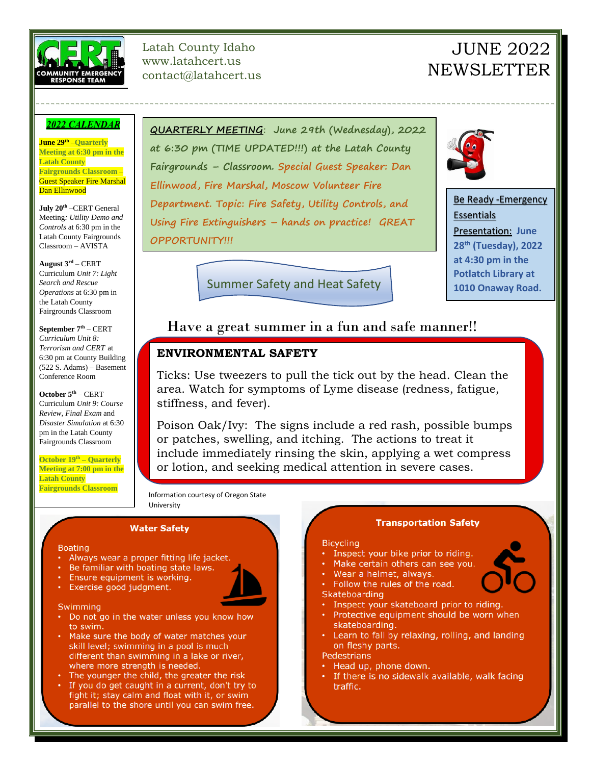

Latah County Idaho www.latahcert.us contact@latahcert.us

# JUNE 2022 **NEWSLETTER**

### 2022 CALENDAR

**June 29th** –**Quarterly Meeting at 6:30 pm in the Latah County Fairgrounds Classroom** – Guest Speaker Fire Marshal Dan Ellinwood

**July 20th –**CERT General Meeting*: Utility Demo and Controls* at 6:30 pm in the Latah County Fairgrounds Classroom – AVISTA

**August 3rd** – CERT Curriculum *Unit 7: Light Search and Rescue Operations* at 6:30 pm in the Latah County Fairgrounds Classroom

**September 7th** – CERT *Curriculum Unit 8: Terrorism and CERT* at 6:30 pm at County Building (522 S. Adams) – Basement Conference Room

**October 5th** – CERT Curriculum *Unit 9: Course Review, Final Exam* and *Disaster Simulation* at 6:30 pm in the Latah County Fairgrounds Classroom

**October 19th – Quarterly Meeting at 7:00 pm in the Latah County Fairgrounds Classroom**

**QUARTERLY MEETING**: **June 29th (Wednesday), 2022 at 6:30 pm (TIME UPDATED!!!) at the Latah County Fairgrounds – Classroom. Special Guest Speaker: Dan Ellinwood, Fire Marshal, Moscow Volunteer Fire Department. Topic: Fire Safety, Utility Controls, and Using Fire Extinguishers – hands on practice! GREAT OPPORTUNITY!!!**

---------------------------------------------------------------------------------------------------------



Be Ready -Emergency Essentials Presentation: **June 28th (Tuesday), 2022 at 4:30 pm in the Potlatch Library at 1010 Onaway Road.**

Summer Safety and Heat Safety

# Have a great summer in a fun and safe manner!!

## **ENVIRONMENTAL SAFETY**

Ticks: Use tweezers to pull the tick out by the head. Clean the area. Watch for symptoms of Lyme disease (redness, fatigue, stiffness, and fever).

Poison Oak/Ivy: The signs include a red rash, possible bumps or patches, swelling, and itching. The actions to treat it include immediately rinsing the skin, applying a wet compress or lotion, and seeking medical attention in severe cases.

Information courtesy of Oregon State University

#### **Water Safety**

#### **Boating**

- Always wear a proper fitting life jacket.
- Be familiar with boating state laws.
- Ensure equipment is working.
- Exercise good judgment.

#### Swimming

- Do not go in the water unless you know how to swim.
- . Make sure the body of water matches your skill level; swimming in a pool is much different than swimming in a lake or river, where more strength is needed.
- The younger the child, the greater the risk
- If you do get caught in a current, don't try to fight it; stay calm and float with it, or swim parallel to the shore until you can swim free.

#### **Transportation Safety**

#### **Bicycling**

- Inspect your bike prior to riding.
- . Make certain others can see you.
- · Wear a helmet, always.
- Follow the rules of the road. Skateboarding
- Inspect your skateboard prior to riding.
- Protective equipment should be worn when skateboarding.
- Learn to fall by relaxing, rolling, and landing on fleshy parts.

#### Pedestrians

- Head up, phone down.
- If there is no sidewalk available, walk facing traffic.